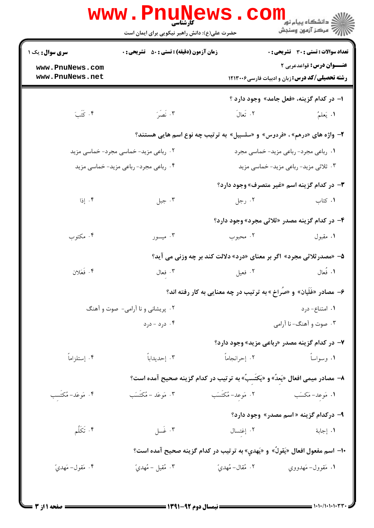|                                       | <b>WWW.PNUNEWS</b>                                                              |                   | ک دانشکاه پیام نور<br>ا∛ مرکز آزمون وسنجش                                                |  |
|---------------------------------------|---------------------------------------------------------------------------------|-------------------|------------------------------------------------------------------------------------------|--|
|                                       | حضرت علی(ع): دانش راهبر نیکویی برای ایمان است                                   |                   |                                                                                          |  |
| <b>سری سوال :</b> یک ۱                | <b>زمان آزمون (دقیقه) : تستی : 50 ٪ تشریحی : 0</b>                              |                   | <b>تعداد سوالات : تستی : 30 ٪ تشریحی : 0</b>                                             |  |
| www.PnuNews.com<br>www.PnuNews.net    |                                                                                 |                   | <b>عنــوان درس:</b> قواعدعربي ٢<br><b>رشته تحصیلی/کد درس: زبان و ادبیات فارسی1۲۱۳۰۰۶</b> |  |
|                                       |                                                                                 |                   | ا– در کدام گزینه، «فعل جامد» وجود دارد ؟                                                 |  |
| ۰۴ كَتَبَ                             | ۰۳ نَصَرَ                                                                       | ٢. تَعالَ         | ١. يَعلمُ                                                                                |  |
|                                       | ۲- واژه های «درهم» ، «فردوس» و «سلسبیل» به ترتیب چه نوع اسم هایی هستند؟         |                   |                                                                                          |  |
| ۰۲ رباعی مزید- خماسی مجرد- خماسی مزید |                                                                                 |                   | ۰۱ رباعی مجرد- رباعی مزید- خماسی مجرد                                                    |  |
| ۰۴ رباعی مجرد- رباعی مزید- خماسی مزید |                                                                                 |                   | ۰۳ ثلاثی مزید- رباعی مزید- خماسی مزید                                                    |  |
|                                       |                                                                                 |                   | <b>۳</b> - در کدام گزینه اسم «غیر متصرف» وجود دارد؟                                      |  |
| ۰۴ إذا                                | ۰۳ جبل                                                                          | ۰۲ رجل            | ۰۱ کتاب                                                                                  |  |
|                                       |                                                                                 |                   | ۴- در کدام گزینه مصدر «ثلاثی مجرد» وجود دارد؟                                            |  |
| ۰۴ مکتوب                              | ۰۳ میسور                                                                        | ۰۲ محبوب          | ۰۱ مقبول                                                                                 |  |
|                                       |                                                                                 |                   | ۵– «مصدر ثلاثی مجرد» اگر بر معنای «درد» دلالت کند بر چه وزنی می آید؟                     |  |
| ۴. فَعَلان                            | ۰۳ فعال                                                                         | ۰۲ فعیل           | ١. فُعال                                                                                 |  |
|                                       |                                                                                 |                   | ۶– مصادر «غَلَیان» و «صَراخ » به ترتیب در چه معنایی به کار رفته اند؟                     |  |
| ۰۲ پریشانی و نا آرامی- صوت و آهنگ     |                                                                                 |                   | ۰۱ امتناع- درد                                                                           |  |
|                                       | ۰۴ درد - درد                                                                    |                   | ۰۳ صوت و آهنگ- نا آرامی                                                                  |  |
|                                       |                                                                                 |                   | ۷- در کدام گزینه مصدر «رباعی مزید» وجود دارد؟                                            |  |
| ۰۴ إستلزاماً                          | ۰۳ إحديداباً                                                                    | ٠٢ إحرانجاماً     | ۰۱ وسواساً                                                                               |  |
|                                       | ۸–  مصادر میمی افعال «یَعدُ» و «یَکتَسبُ» به ترتیب در کدام گزینه صحیح آمده است؟ |                   |                                                                                          |  |
| ۰۴ مَوعَد–مُكتَسب                     | ۰۳ مَوعَد – مُكتَسَب                                                            | ٢. مَوعد–مُكتَسَب | 1. مَوعد–مَكسَب                                                                          |  |
|                                       |                                                                                 |                   | ۹- درکدام گزینه « اسم مصدر» وجود دارد؟                                                   |  |
| ۰۴ تَكَلَّم                           | ۰۳ غسل                                                                          | ۰۲ إغتسال         | ١. إجابة                                                                                 |  |
|                                       | ∙ا− اسم مفعول افعال «يَقولُ» و «يَهدي» به ترتيب در كدام گزينه صحيح آمده است؟    |                   |                                                                                          |  |
| ۰۴ مَقول– مَهديّ                      | ۰۳ مُقيل – مُهديّ                                                               | ٢. مُقال– مُهديّ  | ١. مَقوول–مَهدووي                                                                        |  |
|                                       |                                                                                 |                   |                                                                                          |  |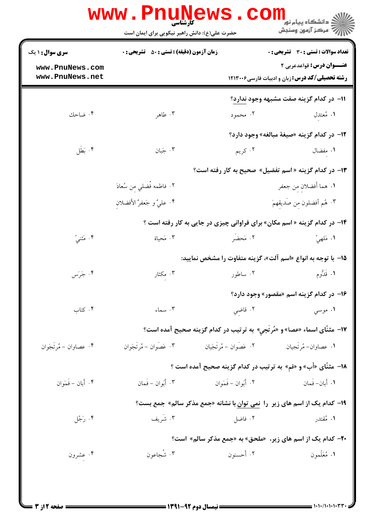| <b>سری سوال : ۱ یک</b> | <b>زمان آزمون (دقیقه) : تستی : 50 ٪ تشریحی : 0</b> |                         | تعداد سوالات : تستى : 30 - تشريحي : 0                                               |  |
|------------------------|----------------------------------------------------|-------------------------|-------------------------------------------------------------------------------------|--|
| www.PnuNews.com        |                                                    |                         | <b>عنـــوان درس:</b> قواعدعربي ٢                                                    |  |
| www.PnuNews.net        |                                                    |                         | <b>رشته تحصیلی/کد درس: زبان و ادبیات فارسی1۲۱۳۰۰۶</b>                               |  |
|                        |                                                    |                         | 11- در کدام گزینه صفت مشبهه وجود ندارد؟                                             |  |
| ۰۴ ضاحك                | ۰۳ طاهر                                            | ۰۲ محمود                | ۱. مُعتدل                                                                           |  |
|                        |                                                    |                         | 1۲- در کدام گزینه «صیغهٔ مبالغه» وجود دارد؟                                         |  |
| ۰۴ بَطَل               | ۰۳ جَبان                                           | ۰۲ کريم                 | ۰۱ مفضال                                                                            |  |
|                        |                                                    |                         | ۱۳- در کدام گزینه « اسم تفضیل» صحیح به کار رفته است؟                                |  |
|                        | ٢. فاطمه فُضلي مِن سُعادَ                          |                         | ١. هما أفضلان من جعفر                                                               |  |
|                        | ۴. عليٌ و جَعفرٌ الأفضلان                          |                         | ۰۳ هُم أفضلون من صَديقهمَ                                                           |  |
|                        |                                                    |                         | ۱۴- در کدام گزینه « اسم مکان» برای فراوانی چیزی در جایی به کار رفته است ؟           |  |
| ۰۴ مَثْنيً             | ۰۳ مَحیاة                                          | ٢. مَحضَر               | ١. مَلْهِيَّ                                                                        |  |
|                        |                                                    |                         | 1۵– با توجه به انواع «اسم آلت»، گزینه متفاوت را مشخص نمایید:                        |  |
| ۰۴ جَرَس               | ۰۳ مکثار                                           | ۰۲ ساطور                | ۱. قَدُّوم                                                                          |  |
|                        |                                                    |                         | ۱۶- در کدام گزینه اسم «مقصور» وجود دارد؟                                            |  |
| ۰۴ کتاب                | $\cdot$ " $\cdot$ " $\cdot$                        | ۲. قاضي                 | ۰۱ موسي                                                                             |  |
|                        |                                                    |                         | ۱۷- مثنّای اسماء «عصا» و «مُرتَجی» به ترتیب در کدام گزینه صحیح آمده است؟            |  |
| ۰۴ عصاوان – مُرتَجَوان | ۰۳ عَصَوان – مُرتَجَوان                            | ۰۲ عَصَوان – مُرتَجَيان | <b>۱.</b> عصاوان– مُرتَجيان                                                         |  |
|                        |                                                    |                         | ۱۸- مثنَّای «أَب» و «فم» به ترتیب در کدام گزینه صحیح آمده است ؟                     |  |
| ۴. أَبان – فَمَوان     | ۰۳ أَبَوان – فَمان                                 | ۰۲ أَبَوان – فَمَوان    | 1. أَبان– فَمان                                                                     |  |
|                        |                                                    |                         | ۱۹- کدام یک از اسم های زیر ً را ن <u>می توان ب</u> ا نشانه «جمع مذکر سالم» جمع بست؟ |  |
| ۰۴ رَجُل               | ۰۳ شَریف                                           | ۰۲ فاضل                 | ۱. مُقتدر                                                                           |  |
|                        |                                                    |                         | <b>۳۰</b> - کدام یک از اسم های زیر، «ملحق» به «جمع مذکر سالم» است؟                  |  |
| ۰۴ عشرون               | ۰۳ شَجاعون                                         | ۰۲ أحسنون               | ۱. مُعَلّمون                                                                        |  |

 $\blacksquare$  ) • ) • / • ) • ) • 1